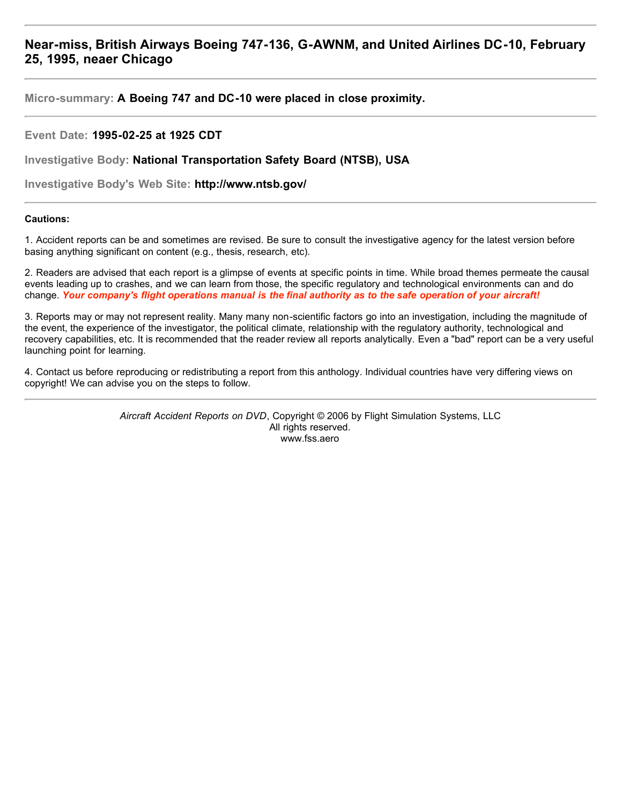# **Near-miss, British Airways Boeing 747-136, G-AWNM, and United Airlines DC-10, February 25, 1995, neaer Chicago**

**Micro-summary: A Boeing 747 and DC-10 were placed in close proximity.**

# **Event Date: 1995-02-25 at 1925 CDT**

**Investigative Body: National Transportation Safety Board (NTSB), USA**

**Investigative Body's Web Site: http://www.ntsb.gov/**

## **Cautions:**

1. Accident reports can be and sometimes are revised. Be sure to consult the investigative agency for the latest version before basing anything significant on content (e.g., thesis, research, etc).

2. Readers are advised that each report is a glimpse of events at specific points in time. While broad themes permeate the causal events leading up to crashes, and we can learn from those, the specific regulatory and technological environments can and do change. *Your company's flight operations manual is the final authority as to the safe operation of your aircraft!*

3. Reports may or may not represent reality. Many many non-scientific factors go into an investigation, including the magnitude of the event, the experience of the investigator, the political climate, relationship with the regulatory authority, technological and recovery capabilities, etc. It is recommended that the reader review all reports analytically. Even a "bad" report can be a very useful launching point for learning.

4. Contact us before reproducing or redistributing a report from this anthology. Individual countries have very differing views on copyright! We can advise you on the steps to follow.

> *Aircraft Accident Reports on DVD*, Copyright © 2006 by Flight Simulation Systems, LLC All rights reserved. www.fss.aero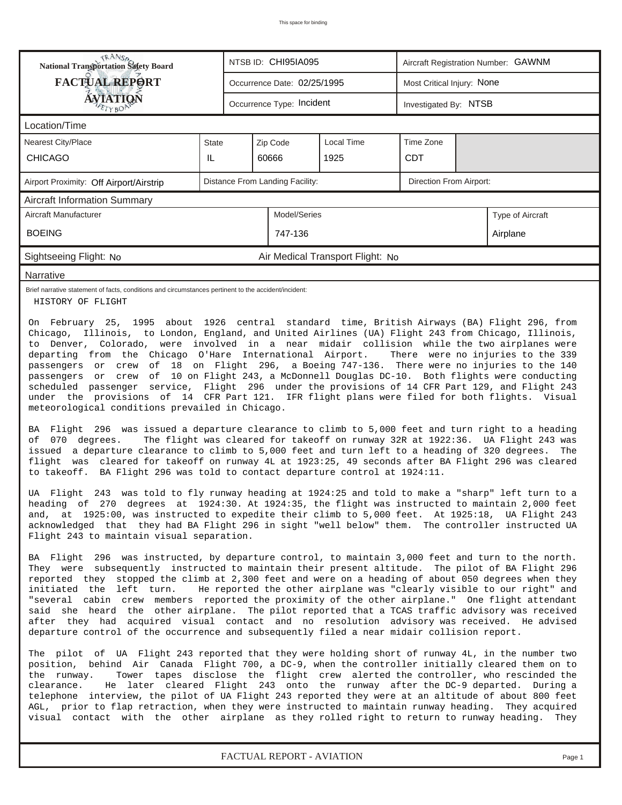|                                                                                                                                                                                                                                                                                                                                                                                                                                                                                                                                                                                                                                                                                                                                                                                                                                                                                                                                                                                                                                                                                                                                                                                                                                                                                                                                                                                                                                                                                                                                                                                                                                                                                                                                                                                                                                                                                                                                                                                                                                                                                                                                                                                                                                                                                                                                                                                                                                                                                                                                                                                                                                                                                                                                                                                                                                                                                                                                                                                                                                                                                                                                                                    | <b>National Transportation Safety Board</b><br>NTSB ID: CHI95IA095 |  |                                 |                                  | Aircraft Registration Number: GAWNM |  |                                                                                                                                                                                                     |  |  |
|--------------------------------------------------------------------------------------------------------------------------------------------------------------------------------------------------------------------------------------------------------------------------------------------------------------------------------------------------------------------------------------------------------------------------------------------------------------------------------------------------------------------------------------------------------------------------------------------------------------------------------------------------------------------------------------------------------------------------------------------------------------------------------------------------------------------------------------------------------------------------------------------------------------------------------------------------------------------------------------------------------------------------------------------------------------------------------------------------------------------------------------------------------------------------------------------------------------------------------------------------------------------------------------------------------------------------------------------------------------------------------------------------------------------------------------------------------------------------------------------------------------------------------------------------------------------------------------------------------------------------------------------------------------------------------------------------------------------------------------------------------------------------------------------------------------------------------------------------------------------------------------------------------------------------------------------------------------------------------------------------------------------------------------------------------------------------------------------------------------------------------------------------------------------------------------------------------------------------------------------------------------------------------------------------------------------------------------------------------------------------------------------------------------------------------------------------------------------------------------------------------------------------------------------------------------------------------------------------------------------------------------------------------------------------------------------------------------------------------------------------------------------------------------------------------------------------------------------------------------------------------------------------------------------------------------------------------------------------------------------------------------------------------------------------------------------------------------------------------------------------------------------------------------------|--------------------------------------------------------------------|--|---------------------------------|----------------------------------|-------------------------------------|--|-----------------------------------------------------------------------------------------------------------------------------------------------------------------------------------------------------|--|--|
| <b>FACTUAL REPORT</b>                                                                                                                                                                                                                                                                                                                                                                                                                                                                                                                                                                                                                                                                                                                                                                                                                                                                                                                                                                                                                                                                                                                                                                                                                                                                                                                                                                                                                                                                                                                                                                                                                                                                                                                                                                                                                                                                                                                                                                                                                                                                                                                                                                                                                                                                                                                                                                                                                                                                                                                                                                                                                                                                                                                                                                                                                                                                                                                                                                                                                                                                                                                                              |                                                                    |  | Occurrence Date: 02/25/1995     |                                  | Most Critical Injury: None          |  |                                                                                                                                                                                                     |  |  |
| AVIATION                                                                                                                                                                                                                                                                                                                                                                                                                                                                                                                                                                                                                                                                                                                                                                                                                                                                                                                                                                                                                                                                                                                                                                                                                                                                                                                                                                                                                                                                                                                                                                                                                                                                                                                                                                                                                                                                                                                                                                                                                                                                                                                                                                                                                                                                                                                                                                                                                                                                                                                                                                                                                                                                                                                                                                                                                                                                                                                                                                                                                                                                                                                                                           |                                                                    |  | Occurrence Type: Incident       |                                  | Investigated By: NTSB               |  |                                                                                                                                                                                                     |  |  |
| Location/Time                                                                                                                                                                                                                                                                                                                                                                                                                                                                                                                                                                                                                                                                                                                                                                                                                                                                                                                                                                                                                                                                                                                                                                                                                                                                                                                                                                                                                                                                                                                                                                                                                                                                                                                                                                                                                                                                                                                                                                                                                                                                                                                                                                                                                                                                                                                                                                                                                                                                                                                                                                                                                                                                                                                                                                                                                                                                                                                                                                                                                                                                                                                                                      |                                                                    |  |                                 |                                  |                                     |  |                                                                                                                                                                                                     |  |  |
| Nearest City/Place                                                                                                                                                                                                                                                                                                                                                                                                                                                                                                                                                                                                                                                                                                                                                                                                                                                                                                                                                                                                                                                                                                                                                                                                                                                                                                                                                                                                                                                                                                                                                                                                                                                                                                                                                                                                                                                                                                                                                                                                                                                                                                                                                                                                                                                                                                                                                                                                                                                                                                                                                                                                                                                                                                                                                                                                                                                                                                                                                                                                                                                                                                                                                 | State                                                              |  | Zip Code                        | <b>Local Time</b>                | Time Zone                           |  |                                                                                                                                                                                                     |  |  |
| <b>CHICAGO</b>                                                                                                                                                                                                                                                                                                                                                                                                                                                                                                                                                                                                                                                                                                                                                                                                                                                                                                                                                                                                                                                                                                                                                                                                                                                                                                                                                                                                                                                                                                                                                                                                                                                                                                                                                                                                                                                                                                                                                                                                                                                                                                                                                                                                                                                                                                                                                                                                                                                                                                                                                                                                                                                                                                                                                                                                                                                                                                                                                                                                                                                                                                                                                     | IL                                                                 |  | 60666                           | 1925                             | <b>CDT</b>                          |  |                                                                                                                                                                                                     |  |  |
| Airport Proximity: Off Airport/Airstrip                                                                                                                                                                                                                                                                                                                                                                                                                                                                                                                                                                                                                                                                                                                                                                                                                                                                                                                                                                                                                                                                                                                                                                                                                                                                                                                                                                                                                                                                                                                                                                                                                                                                                                                                                                                                                                                                                                                                                                                                                                                                                                                                                                                                                                                                                                                                                                                                                                                                                                                                                                                                                                                                                                                                                                                                                                                                                                                                                                                                                                                                                                                            |                                                                    |  | Distance From Landing Facility: |                                  | Direction From Airport:             |  |                                                                                                                                                                                                     |  |  |
| <b>Aircraft Information Summary</b>                                                                                                                                                                                                                                                                                                                                                                                                                                                                                                                                                                                                                                                                                                                                                                                                                                                                                                                                                                                                                                                                                                                                                                                                                                                                                                                                                                                                                                                                                                                                                                                                                                                                                                                                                                                                                                                                                                                                                                                                                                                                                                                                                                                                                                                                                                                                                                                                                                                                                                                                                                                                                                                                                                                                                                                                                                                                                                                                                                                                                                                                                                                                |                                                                    |  |                                 |                                  |                                     |  |                                                                                                                                                                                                     |  |  |
| Aircraft Manufacturer                                                                                                                                                                                                                                                                                                                                                                                                                                                                                                                                                                                                                                                                                                                                                                                                                                                                                                                                                                                                                                                                                                                                                                                                                                                                                                                                                                                                                                                                                                                                                                                                                                                                                                                                                                                                                                                                                                                                                                                                                                                                                                                                                                                                                                                                                                                                                                                                                                                                                                                                                                                                                                                                                                                                                                                                                                                                                                                                                                                                                                                                                                                                              |                                                                    |  | Model/Series                    |                                  |                                     |  | Type of Aircraft                                                                                                                                                                                    |  |  |
| <b>BOEING</b>                                                                                                                                                                                                                                                                                                                                                                                                                                                                                                                                                                                                                                                                                                                                                                                                                                                                                                                                                                                                                                                                                                                                                                                                                                                                                                                                                                                                                                                                                                                                                                                                                                                                                                                                                                                                                                                                                                                                                                                                                                                                                                                                                                                                                                                                                                                                                                                                                                                                                                                                                                                                                                                                                                                                                                                                                                                                                                                                                                                                                                                                                                                                                      |                                                                    |  | 747-136                         |                                  |                                     |  | Airplane                                                                                                                                                                                            |  |  |
| Sightseeing Flight: No                                                                                                                                                                                                                                                                                                                                                                                                                                                                                                                                                                                                                                                                                                                                                                                                                                                                                                                                                                                                                                                                                                                                                                                                                                                                                                                                                                                                                                                                                                                                                                                                                                                                                                                                                                                                                                                                                                                                                                                                                                                                                                                                                                                                                                                                                                                                                                                                                                                                                                                                                                                                                                                                                                                                                                                                                                                                                                                                                                                                                                                                                                                                             |                                                                    |  |                                 | Air Medical Transport Flight: No |                                     |  |                                                                                                                                                                                                     |  |  |
| Narrative                                                                                                                                                                                                                                                                                                                                                                                                                                                                                                                                                                                                                                                                                                                                                                                                                                                                                                                                                                                                                                                                                                                                                                                                                                                                                                                                                                                                                                                                                                                                                                                                                                                                                                                                                                                                                                                                                                                                                                                                                                                                                                                                                                                                                                                                                                                                                                                                                                                                                                                                                                                                                                                                                                                                                                                                                                                                                                                                                                                                                                                                                                                                                          |                                                                    |  |                                 |                                  |                                     |  |                                                                                                                                                                                                     |  |  |
| Brief narrative statement of facts, conditions and circumstances pertinent to the accident/incident:<br>HISTORY OF FLIGHT                                                                                                                                                                                                                                                                                                                                                                                                                                                                                                                                                                                                                                                                                                                                                                                                                                                                                                                                                                                                                                                                                                                                                                                                                                                                                                                                                                                                                                                                                                                                                                                                                                                                                                                                                                                                                                                                                                                                                                                                                                                                                                                                                                                                                                                                                                                                                                                                                                                                                                                                                                                                                                                                                                                                                                                                                                                                                                                                                                                                                                          |                                                                    |  |                                 |                                  |                                     |  |                                                                                                                                                                                                     |  |  |
| On February 25, 1995 about 1926 central standard time, British Airways (BA) Flight 296, from<br>Chicago, Illinois, to London, England, and United Airlines (UA) Flight 243 from Chicago, Illinois,<br>to Denver, Colorado, were involved in a near midair collision while the two airplanes were<br>departing from the Chicago O'Hare International Airport.<br>There were no injuries to the 339<br>passengers or crew of 18 on Flight 296, a Boeing 747-136. There were no injuries to the 140<br>passengers or crew of 10 on Flight 243, a McDonnell Douglas DC-10. Both flights were conducting<br>scheduled passenger service, Flight 296 under the provisions of 14 CFR Part 129, and Flight 243<br>under the provisions of 14 CFR Part 121. IFR flight plans were filed for both flights. Visual<br>meteorological conditions prevailed in Chicago.<br>BA Flight 296 was issued a departure clearance to climb to 5,000 feet and turn right to a heading<br>The flight was cleared for takeoff on runway 32R at 1922:36. UA Flight 243 was<br>of 070 degrees.<br>issued a departure clearance to climb to 5,000 feet and turn left to a heading of 320 degrees. The<br>flight was cleared for takeoff on runway 4L at 1923:25, 49 seconds after BA Flight 296 was cleared<br>to takeoff. BA Flight 296 was told to contact departure control at 1924:11.<br>UA Flight 243 was told to fly runway heading at 1924:25 and told to make a "sharp" left turn to a<br>heading of 270 degrees at 1924:30. At 1924:35, the flight was instructed to maintain 2,000 feet<br>and, at 1925:00, was instructed to expedite their climb to 5,000 feet. At 1925:18, UA Flight 243<br>acknowledged that they had BA Flight 296 in sight "well below" them. The controller instructed UA<br>Flight 243 to maintain visual separation.<br>BA Flight 296 was instructed, by departure control, to maintain 3,000 feet and turn to the north.<br>They were subsequently instructed to maintain their present altitude. The pilot of BA Flight 296<br>reported they stopped the climb at 2,300 feet and were on a heading of about 050 degrees when they<br>initiated the left turn.<br>He reported the other airplane was "clearly visible to our right" and<br>"several cabin crew members reported the proximity of the other airplane." One flight attendant<br>said she heard the other airplane. The pilot reported that a TCAS traffic advisory was received<br>after they had acquired visual contact and no resolution advisory was received. He advised<br>departure control of the occurrence and subsequently filed a near midair collision report.<br>The pilot of UA Flight 243 reported that they were holding short of runway 4L, in the number two<br>position, behind Air Canada Flight 700, a DC-9, when the controller initially cleared them on to<br>the runway.<br>Tower tapes disclose the flight crew alerted the controller, who rescinded the<br>clearance.<br>He later cleared Flight 243 onto the runway after the DC-9 departed. During a<br>telephone interview, the pilot of UA Flight 243 reported they were at an altitude of about 800 feet |                                                                    |  |                                 |                                  |                                     |  | AGL, prior to flap retraction, when they were instructed to maintain runway heading. They acquired<br>visual contact with the other airplane as they rolled right to return to runway heading. They |  |  |

*FACTUAL REPORT - AVIATION Page 1*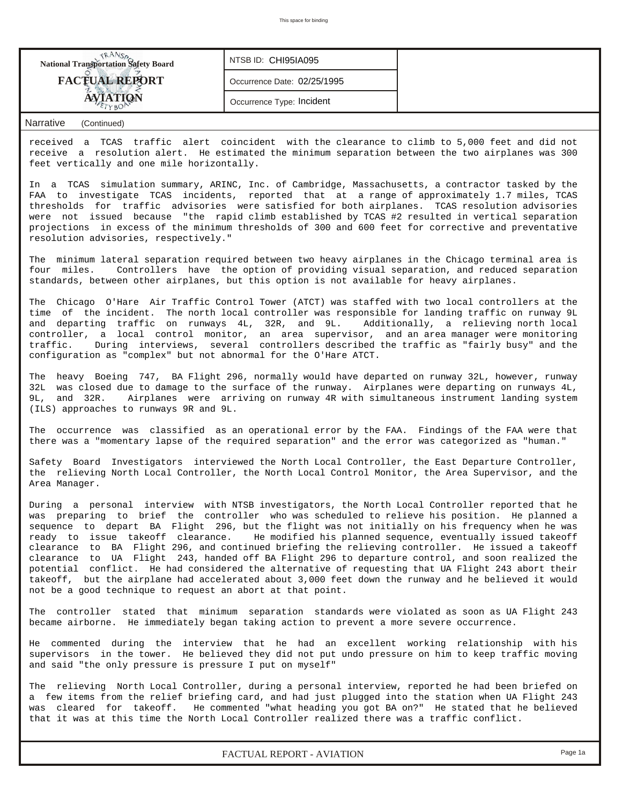| <b>National Transportation Safety Board</b> | NTSB ID: CHI95IA095         |  |
|---------------------------------------------|-----------------------------|--|
| <b>FACTUAL REPORT</b>                       | Occurrence Date: 02/25/1995 |  |
|                                             | Occurrence Type: Incident   |  |

### *Narrative (Continued)*

received a TCAS traffic alert coincident with the clearance to climb to 5,000 feet and did not receive a resolution alert. He estimated the minimum separation between the two airplanes was 300 feet vertically and one mile horizontally.

In a TCAS simulation summary, ARINC, Inc. of Cambridge, Massachusetts, a contractor tasked by the FAA to investigate TCAS incidents, reported that at a range of approximately 1.7 miles, TCAS thresholds for traffic advisories were satisfied for both airplanes. TCAS resolution advisories were not issued because "the rapid climb established by TCAS #2 resulted in vertical separation projections in excess of the minimum thresholds of 300 and 600 feet for corrective and preventative resolution advisories, respectively."

The minimum lateral separation required between two heavy airplanes in the Chicago terminal area is four miles. Controllers have the option of providing visual separation, and reduced separation standards, between other airplanes, but this option is not available for heavy airplanes.

The Chicago O'Hare Air Traffic Control Tower (ATCT) was staffed with two local controllers at the time of the incident. The north local controller was responsible for landing traffic on runway 9L and departing traffic on runways 4L, 32R, and 9L. Additionally, a relieving north local controller, a local control monitor, an area supervisor, and an area manager were monitoring traffic. During interviews, several controllers described the traffic as "fairly busy" and the configuration as "complex" but not abnormal for the O'Hare ATCT.

The heavy Boeing 747, BA Flight 296, normally would have departed on runway 32L, however, runway 32L was closed due to damage to the surface of the runway. Airplanes were departing on runways 4L, 9L, and 32R. Airplanes were arriving on runway 4R with simultaneous instrument landing system (ILS) approaches to runways 9R and 9L.

The occurrence was classified as an operational error by the FAA. Findings of the FAA were that there was a "momentary lapse of the required separation" and the error was categorized as "human."

Safety Board Investigators interviewed the North Local Controller, the East Departure Controller, the relieving North Local Controller, the North Local Control Monitor, the Area Supervisor, and the Area Manager.

During a personal interview with NTSB investigators, the North Local Controller reported that he was preparing to brief the controller who was scheduled to relieve his position. He planned a sequence to depart BA Flight 296, but the flight was not initially on his frequency when he was ready to issue takeoff clearance. He modified his planned sequence, eventually issued takeoff clearance to BA Flight 296, and continued briefing the relieving controller. He issued a takeoff clearance to UA Flight 243, handed off BA Flight 296 to departure control, and soon realized the potential conflict. He had considered the alternative of requesting that UA Flight 243 abort their takeoff, but the airplane had accelerated about 3,000 feet down the runway and he believed it would not be a good technique to request an abort at that point.

The controller stated that minimum separation standards were violated as soon as UA Flight 243 became airborne. He immediately began taking action to prevent a more severe occurrence.

He commented during the interview that he had an excellent working relationship with his supervisors in the tower. He believed they did not put undo pressure on him to keep traffic moving and said "the only pressure is pressure I put on myself"

The relieving North Local Controller, during a personal interview, reported he had been briefed on a few items from the relief briefing card, and had just plugged into the station when UA Flight 243 was cleared for takeoff. He commented "what heading you got BA on?" He stated that he believed that it was at this time the North Local Controller realized there was a traffic conflict.

*FACTUAL REPORT - AVIATION Page 1a*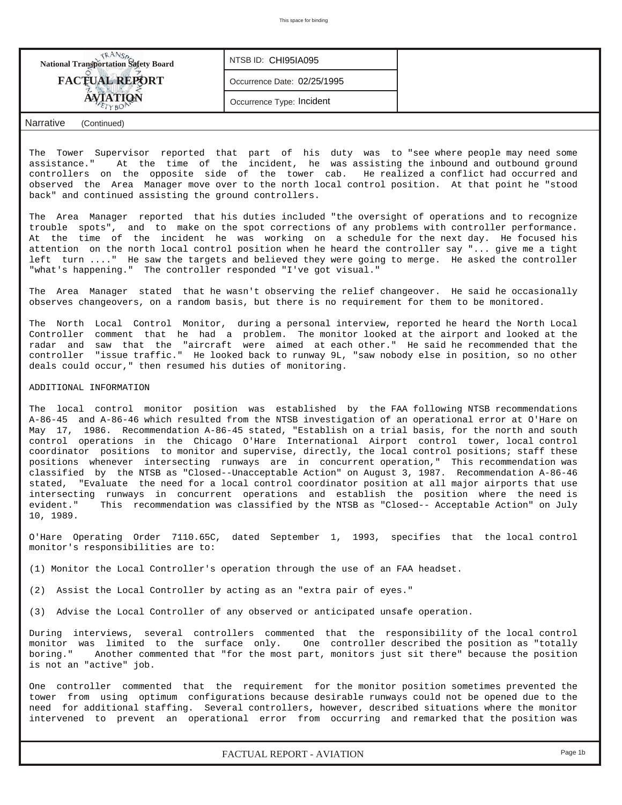| <b>National Transportation Safety Board</b> | NTSB ID: CHI95IA095         |  |
|---------------------------------------------|-----------------------------|--|
| <b>FACTUAL REPORT</b>                       | Occurrence Date: 02/25/1995 |  |
| <b>AVIATION</b>                             | Occurrence Type: Incident   |  |
| Narrative<br>(Continued)                    |                             |  |

The Tower Supervisor reported that part of his duty was to "see where people may need some assistance." At the time of the incident, he was assisting the inbound and outbound ground controllers on the opposite side of the tower cab. He realized a conflict had occurred and observed the Area Manager move over to the north local control position. At that point he "stood back" and continued assisting the ground controllers.

The Area Manager reported that his duties included "the oversight of operations and to recognize trouble spots", and to make on the spot corrections of any problems with controller performance. At the time of the incident he was working on a schedule for the next day. He focused his attention on the north local control position when he heard the controller say "... give me a tight left turn ...." He saw the targets and believed they were going to merge. He asked the controller "what's happening." The controller responded "I've got visual."

The Area Manager stated that he wasn't observing the relief changeover. He said he occasionally observes changeovers, on a random basis, but there is no requirement for them to be monitored.

The North Local Control Monitor, during a personal interview, reported he heard the North Local Controller comment that he had a problem. The monitor looked at the airport and looked at the radar and saw that the "aircraft were aimed at each other." He said he recommended that the controller "issue traffic." He looked back to runway 9L, "saw nobody else in position, so no other deals could occur," then resumed his duties of monitoring.

#### ADDITIONAL INFORMATION

The local control monitor position was established by the FAA following NTSB recommendations A-86-45 and A-86-46 which resulted from the NTSB investigation of an operational error at O'Hare on May 17, 1986. Recommendation A-86-45 stated, "Establish on a trial basis, for the north and south control operations in the Chicago O'Hare International Airport control tower, local control coordinator positions to monitor and supervise, directly, the local control positions; staff these positions whenever intersecting runways are in concurrent operation," This recommendation was classified by the NTSB as "Closed--Unacceptable Action" on August 3, 1987. Recommendation A-86-46 stated, "Evaluate the need for a local control coordinator position at all major airports that use intersecting runways in concurrent operations and establish the position where the need is evident." This recommendation was classified by the NTSB as "Closed-- Acceptable Action" on July 10, 1989.

O'Hare Operating Order 7110.65C, dated September 1, 1993, specifies that the local control monitor's responsibilities are to:

(1) Monitor the Local Controller's operation through the use of an FAA headset.

(2) Assist the Local Controller by acting as an "extra pair of eyes."

(3) Advise the Local Controller of any observed or anticipated unsafe operation.

During interviews, several controllers commented that the responsibility of the local control monitor was limited to the surface only. One controller described the position as "totally boring." Another commented that "for the most part, monitors just sit there" because the position is not an "active" job.

One controller commented that the requirement for the monitor position sometimes prevented the tower from using optimum configurations because desirable runways could not be opened due to the need for additional staffing. Several controllers, however, described situations where the monitor intervened to prevent an operational error from occurring and remarked that the position was

*FACTUAL REPORT - AVIATION Page 1b*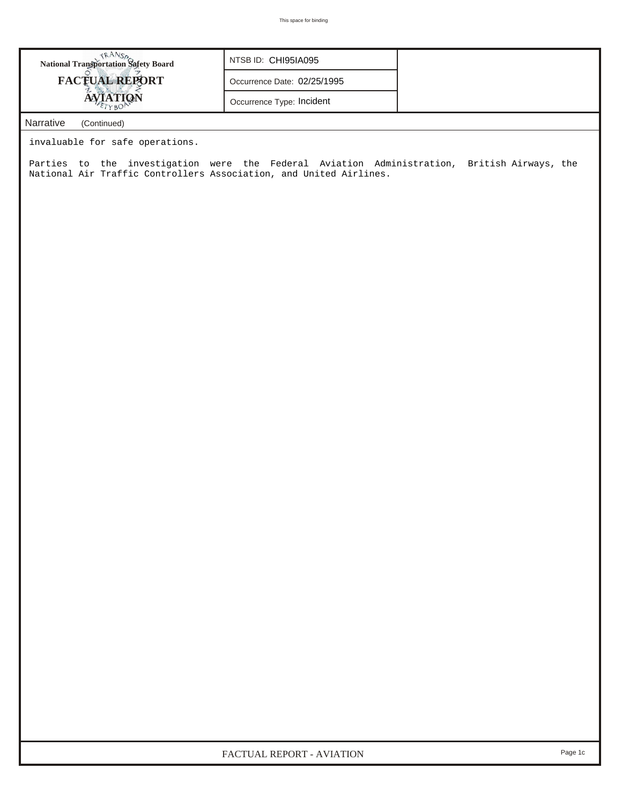| TRANSO<br>National Transportation Safety Board                                                                                                                    | NTSB ID: CHI95IA095         |  |  |  |  |  |  |  |
|-------------------------------------------------------------------------------------------------------------------------------------------------------------------|-----------------------------|--|--|--|--|--|--|--|
| <b>FACTUAL REPORT</b>                                                                                                                                             | Occurrence Date: 02/25/1995 |  |  |  |  |  |  |  |
| <b>AVIATION</b>                                                                                                                                                   | Occurrence Type: Incident   |  |  |  |  |  |  |  |
| Narrative<br>(Continued)                                                                                                                                          |                             |  |  |  |  |  |  |  |
| invaluable for safe operations.                                                                                                                                   |                             |  |  |  |  |  |  |  |
| Parties to the investigation were the Federal Aviation Administration, British Airways, the<br>National Air Traffic Controllers Association, and United Airlines. |                             |  |  |  |  |  |  |  |
|                                                                                                                                                                   |                             |  |  |  |  |  |  |  |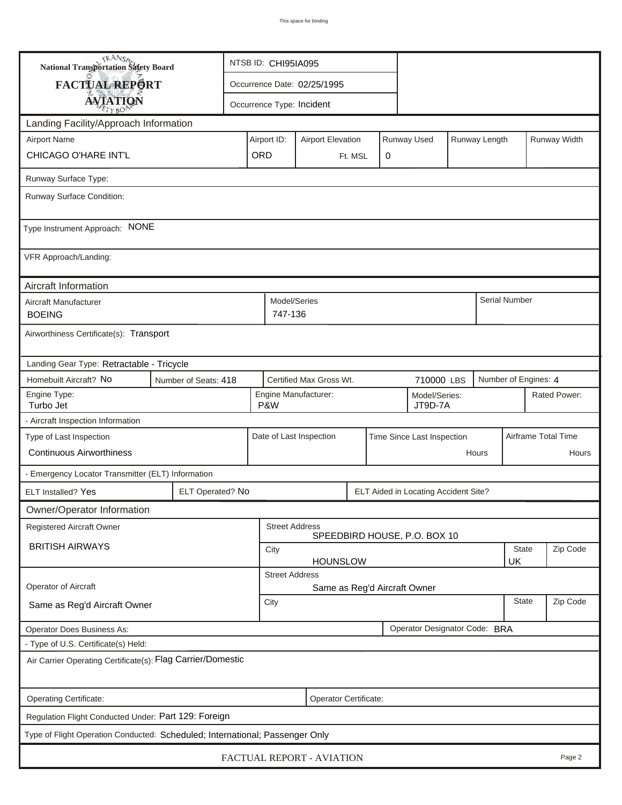| <b>National Transportation Safety Board</b>                                  |                                           | NTSB ID: CHI95IA095                                                     |                                                       |                             |         |   |                                      |                    |          |                      |                     |              |
|------------------------------------------------------------------------------|-------------------------------------------|-------------------------------------------------------------------------|-------------------------------------------------------|-----------------------------|---------|---|--------------------------------------|--------------------|----------|----------------------|---------------------|--------------|
| FACTUAL REPORT                                                               |                                           |                                                                         |                                                       | Occurrence Date: 02/25/1995 |         |   |                                      |                    |          |                      |                     |              |
| <b>AVIATION</b>                                                              |                                           |                                                                         |                                                       | Occurrence Type: Incident   |         |   |                                      |                    |          |                      |                     |              |
| Landing Facility/Approach Information                                        |                                           |                                                                         |                                                       |                             |         |   |                                      |                    |          |                      |                     |              |
| <b>Airport Name</b>                                                          |                                           | Runway Used<br>Airport ID:<br><b>Airport Elevation</b><br>Runway Length |                                                       |                             |         |   |                                      |                    |          |                      | Runway Width        |              |
| CHICAGO O'HARE INT'L                                                         |                                           | ORD                                                                     |                                                       |                             | Ft. MSL | 0 |                                      |                    |          |                      |                     |              |
| Runway Surface Type:                                                         |                                           |                                                                         |                                                       |                             |         |   |                                      |                    |          |                      |                     |              |
| Runway Surface Condition:                                                    |                                           |                                                                         |                                                       |                             |         |   |                                      |                    |          |                      |                     |              |
| Type Instrument Approach: NONE                                               |                                           |                                                                         |                                                       |                             |         |   |                                      |                    |          |                      |                     |              |
| VFR Approach/Landing:                                                        |                                           |                                                                         |                                                       |                             |         |   |                                      |                    |          |                      |                     |              |
| Aircraft Information                                                         |                                           |                                                                         |                                                       |                             |         |   |                                      |                    |          |                      |                     |              |
| Aircraft Manufacturer<br><b>BOEING</b>                                       |                                           |                                                                         | Model/Series<br>747-136                               |                             |         |   |                                      |                    |          | Serial Number        |                     |              |
| Airworthiness Certificate(s): Transport                                      |                                           |                                                                         |                                                       |                             |         |   |                                      |                    |          |                      |                     |              |
|                                                                              | Landing Gear Type: Retractable - Tricycle |                                                                         |                                                       |                             |         |   |                                      |                    |          |                      |                     |              |
| Homebuilt Aircraft? No                                                       | Number of Seats: 418                      |                                                                         | Certified Max Gross Wt.<br>710000 LBS                 |                             |         |   |                                      |                    |          | Number of Engines: 4 |                     |              |
| Engine Type:<br>Turbo Jet                                                    |                                           |                                                                         | P&W                                                   | Engine Manufacturer:        |         |   | Model/Series:<br>JT9D-7A             |                    |          |                      |                     | Rated Power: |
| - Aircraft Inspection Information                                            |                                           |                                                                         |                                                       |                             |         |   |                                      |                    |          |                      |                     |              |
| Type of Last Inspection<br><b>Continuous Airworthiness</b>                   |                                           |                                                                         | Date of Last Inspection<br>Time Since Last Inspection |                             |         |   |                                      |                    |          |                      | Airframe Total Time |              |
|                                                                              |                                           |                                                                         |                                                       |                             |         |   |                                      |                    | Hours    |                      |                     | Hours        |
| - Emergency Locator Transmitter (ELT) Information                            |                                           |                                                                         |                                                       |                             |         |   |                                      |                    |          |                      |                     |              |
| ELT Installed? Yes                                                           | ELT Operated? No                          |                                                                         |                                                       |                             |         |   | ELT Aided in Locating Accident Site? |                    |          |                      |                     |              |
| Owner/Operator Information                                                   |                                           |                                                                         |                                                       |                             |         |   |                                      |                    |          |                      |                     |              |
| Registered Aircraft Owner                                                    |                                           |                                                                         | <b>Street Address</b><br>SPEEDBIRD HOUSE, P.O. BOX 10 |                             |         |   |                                      |                    |          |                      |                     |              |
| <b>BRITISH AIRWAYS</b>                                                       |                                           | City<br><b>HOUNSLOW</b>                                                 |                                                       |                             |         |   |                                      | <b>State</b><br>UK |          | Zip Code             |                     |              |
|                                                                              |                                           | <b>Street Address</b>                                                   |                                                       |                             |         |   |                                      |                    |          |                      |                     |              |
| Operator of Aircraft                                                         |                                           | Same as Reg'd Aircraft Owner                                            |                                                       |                             |         |   |                                      |                    |          |                      |                     |              |
| Same as Reg'd Aircraft Owner                                                 |                                           | <b>State</b><br>City                                                    |                                                       |                             |         |   |                                      |                    | Zip Code |                      |                     |              |
| Operator Does Business As:                                                   |                                           |                                                                         |                                                       |                             |         |   | Operator Designator Code: BRA        |                    |          |                      |                     |              |
| - Type of U.S. Certificate(s) Held:                                          |                                           |                                                                         |                                                       |                             |         |   |                                      |                    |          |                      |                     |              |
| Air Carrier Operating Certificate(s): Flag Carrier/Domestic                  |                                           |                                                                         |                                                       |                             |         |   |                                      |                    |          |                      |                     |              |
| Operating Certificate:                                                       |                                           |                                                                         |                                                       | Operator Certificate:       |         |   |                                      |                    |          |                      |                     |              |
| Regulation Flight Conducted Under: Part 129: Foreign                         |                                           |                                                                         |                                                       |                             |         |   |                                      |                    |          |                      |                     |              |
| Type of Flight Operation Conducted: Scheduled; International; Passenger Only |                                           |                                                                         |                                                       |                             |         |   |                                      |                    |          |                      |                     |              |
|                                                                              |                                           |                                                                         |                                                       | FACTUAL REPORT - AVIATION   |         |   |                                      |                    |          |                      |                     | Page 2       |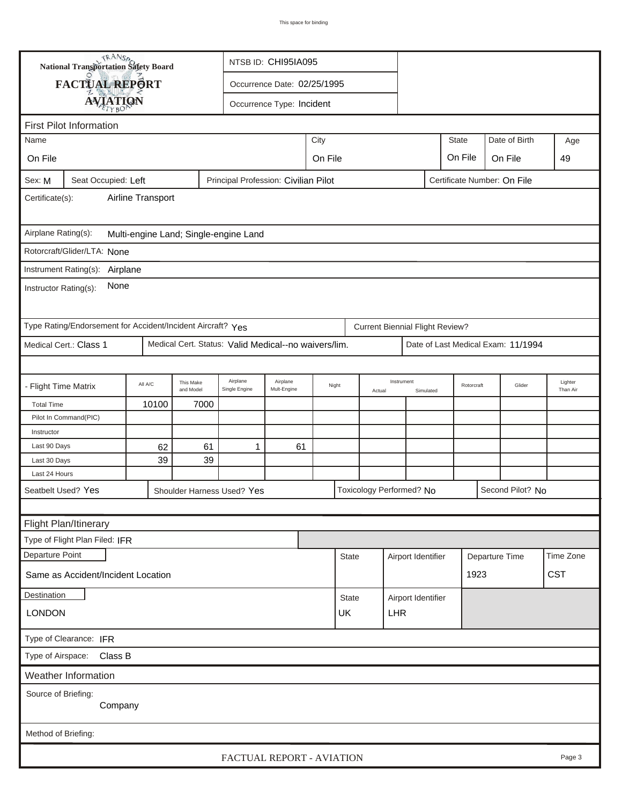|                                                                                                      | <b>National Transportation Safety Board</b>                 |         |                        | NTSB ID: CHI95IA095                                  |                             |         |                  |  |                                        |                         |         |                |                                    |                     |
|------------------------------------------------------------------------------------------------------|-------------------------------------------------------------|---------|------------------------|------------------------------------------------------|-----------------------------|---------|------------------|--|----------------------------------------|-------------------------|---------|----------------|------------------------------------|---------------------|
|                                                                                                      | FACTUAL REPORT                                              |         |                        |                                                      | Occurrence Date: 02/25/1995 |         |                  |  |                                        |                         |         |                |                                    |                     |
|                                                                                                      | <b>AVIATION</b>                                             |         |                        |                                                      | Occurrence Type: Incident   |         |                  |  |                                        |                         |         |                |                                    |                     |
|                                                                                                      |                                                             |         |                        |                                                      |                             |         |                  |  |                                        |                         |         |                |                                    |                     |
| <b>First Pilot Information</b>                                                                       |                                                             |         |                        |                                                      |                             |         |                  |  |                                        |                         |         |                |                                    |                     |
| Name                                                                                                 |                                                             |         |                        |                                                      | City<br><b>State</b>        |         |                  |  |                                        |                         |         |                | Date of Birth                      | Age                 |
| On File                                                                                              |                                                             |         |                        |                                                      |                             | On File |                  |  |                                        |                         | On File | On File        |                                    | 49                  |
| Principal Profession: Civilian Pilot<br>Certificate Number: On File<br>Seat Occupied: Left<br>Sex: M |                                                             |         |                        |                                                      |                             |         |                  |  |                                        |                         |         |                |                                    |                     |
| Airline Transport<br>Certificate(s):                                                                 |                                                             |         |                        |                                                      |                             |         |                  |  |                                        |                         |         |                |                                    |                     |
| Airplane Rating(s):<br>Multi-engine Land; Single-engine Land                                         |                                                             |         |                        |                                                      |                             |         |                  |  |                                        |                         |         |                |                                    |                     |
|                                                                                                      | Rotorcraft/Glider/LTA: None                                 |         |                        |                                                      |                             |         |                  |  |                                        |                         |         |                |                                    |                     |
|                                                                                                      |                                                             |         |                        |                                                      |                             |         |                  |  |                                        |                         |         |                |                                    |                     |
| Instrument Rating(s):<br>Airplane<br>None<br>Instructor Rating(s):                                   |                                                             |         |                        |                                                      |                             |         |                  |  |                                        |                         |         |                |                                    |                     |
|                                                                                                      | Type Rating/Endorsement for Accident/Incident Aircraft? Yes |         |                        |                                                      |                             |         |                  |  | <b>Current Biennial Flight Review?</b> |                         |         |                |                                    |                     |
|                                                                                                      | Medical Cert.: Class 1                                      |         |                        | Medical Cert. Status: Valid Medical--no waivers/lim. |                             |         |                  |  |                                        |                         |         |                | Date of Last Medical Exam: 11/1994 |                     |
|                                                                                                      |                                                             |         |                        |                                                      |                             |         |                  |  |                                        |                         |         |                |                                    |                     |
| - Flight Time Matrix                                                                                 |                                                             | All A/C | This Make<br>and Model | Airplane<br>Single Engine                            | Airplane<br>Mult-Engine     |         | Night<br>Actual  |  | Instrument                             | Rotorcraft<br>Simulated |         |                | Glider                             | Lighter<br>Than Air |
| <b>Total Time</b>                                                                                    |                                                             | 10100   | 7000                   |                                                      |                             |         |                  |  |                                        |                         |         |                |                                    |                     |
|                                                                                                      | Pilot In Command(PIC)                                       |         |                        |                                                      |                             |         |                  |  |                                        |                         |         |                |                                    |                     |
| Instructor                                                                                           |                                                             |         |                        |                                                      |                             |         |                  |  |                                        |                         |         |                |                                    |                     |
| Last 90 Days                                                                                         |                                                             | 62      | 61                     | 1                                                    | 61                          |         |                  |  |                                        |                         |         |                |                                    |                     |
| Last 30 Days                                                                                         |                                                             | 39      | 39                     |                                                      |                             |         |                  |  |                                        |                         |         |                |                                    |                     |
| Last 24 Hours                                                                                        |                                                             |         |                        |                                                      |                             |         |                  |  |                                        |                         |         |                |                                    |                     |
|                                                                                                      | Seatbelt Used? Yes                                          |         |                        | Shoulder Harness Used? Yes                           |                             |         |                  |  | Toxicology Performed? No               |                         |         |                | Second Pilot? No                   |                     |
|                                                                                                      |                                                             |         |                        |                                                      |                             |         |                  |  |                                        |                         |         |                |                                    |                     |
|                                                                                                      | Flight Plan/Itinerary                                       |         |                        |                                                      |                             |         |                  |  |                                        |                         |         |                |                                    |                     |
|                                                                                                      | Type of Flight Plan Filed: IFR                              |         |                        |                                                      |                             |         |                  |  |                                        |                         |         |                |                                    |                     |
| Departure Point                                                                                      |                                                             |         |                        |                                                      |                             |         | <b>State</b>     |  |                                        | Airport Identifier      |         | Departure Time |                                    | Time Zone           |
|                                                                                                      | Same as Accident/Incident Location                          |         |                        |                                                      |                             |         |                  |  |                                        |                         | 1923    |                |                                    | <b>CST</b>          |
| Destination                                                                                          |                                                             |         |                        |                                                      |                             |         | <b>State</b>     |  | Airport Identifier                     |                         |         |                |                                    |                     |
| <b>LONDON</b>                                                                                        |                                                             |         |                        |                                                      |                             |         | UK<br><b>LHR</b> |  |                                        |                         |         |                |                                    |                     |
| Type of Clearance: IFR                                                                               |                                                             |         |                        |                                                      |                             |         |                  |  |                                        |                         |         |                |                                    |                     |
| Class B<br>Type of Airspace:                                                                         |                                                             |         |                        |                                                      |                             |         |                  |  |                                        |                         |         |                |                                    |                     |
|                                                                                                      | Weather Information                                         |         |                        |                                                      |                             |         |                  |  |                                        |                         |         |                |                                    |                     |
| Source of Briefing:<br>Company                                                                       |                                                             |         |                        |                                                      |                             |         |                  |  |                                        |                         |         |                |                                    |                     |
|                                                                                                      |                                                             |         |                        |                                                      |                             |         |                  |  |                                        |                         |         |                |                                    |                     |
| Method of Briefing:                                                                                  |                                                             |         |                        |                                                      |                             |         |                  |  |                                        |                         |         |                |                                    |                     |
|                                                                                                      | FACTUAL REPORT - AVIATION<br>Page 3                         |         |                        |                                                      |                             |         |                  |  |                                        |                         |         |                |                                    |                     |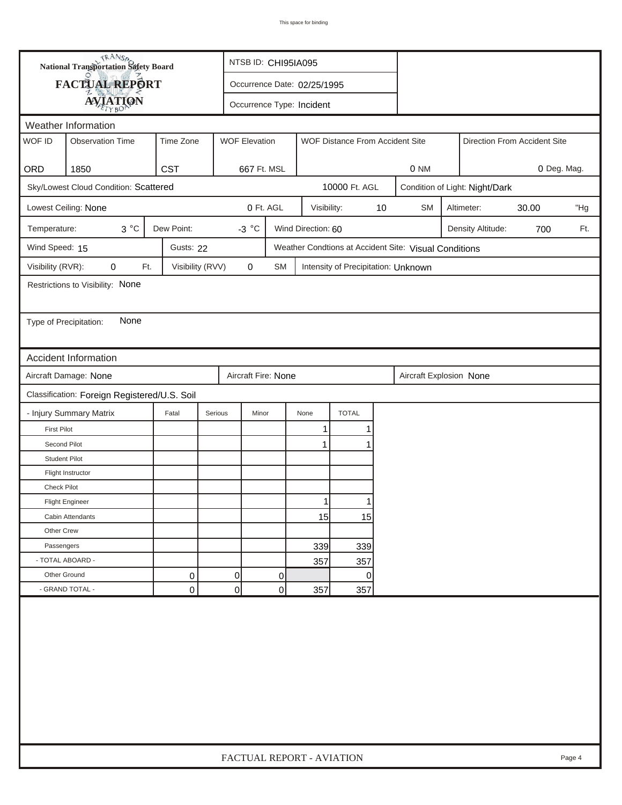|                        | <b>National Transportation Safety Board</b><br>NTSB ID: CHI95IA095 |                  |                      |                             |                    |                                                       |    |                              |  |                                |             |     |
|------------------------|--------------------------------------------------------------------|------------------|----------------------|-----------------------------|--------------------|-------------------------------------------------------|----|------------------------------|--|--------------------------------|-------------|-----|
|                        | <b>FACTUAL REPORT</b>                                              |                  |                      | Occurrence Date: 02/25/1995 |                    |                                                       |    |                              |  |                                |             |     |
|                        | <b>AVIATION</b>                                                    |                  |                      | Occurrence Type: Incident   |                    |                                                       |    |                              |  |                                |             |     |
| Weather Information    |                                                                    |                  |                      |                             |                    |                                                       |    |                              |  |                                |             |     |
| WOF ID                 | <b>Observation Time</b>                                            | Time Zone        | <b>WOF Elevation</b> |                             |                    | WOF Distance From Accident Site                       |    | Direction From Accident Site |  |                                |             |     |
|                        |                                                                    |                  |                      |                             |                    |                                                       |    |                              |  |                                |             |     |
| ORD                    | 1850                                                               | <b>CST</b>       |                      | 667 Ft. MSL                 |                    |                                                       |    | 0 NM                         |  |                                | 0 Deg. Mag. |     |
|                        | Sky/Lowest Cloud Condition: Scattered                              |                  |                      |                             |                    | 10000 Ft. AGL                                         |    |                              |  | Condition of Light: Night/Dark |             |     |
|                        | Lowest Ceiling: None                                               |                  |                      | 0 Ft. AGL                   | Visibility:        |                                                       | 10 | <b>SM</b>                    |  | Altimeter:                     | 30.00       | "Hg |
| Temperature:           | $3^{\circ}C$                                                       | Dew Point:       | -3 $^{\circ}$ C      |                             | Wind Direction: 60 |                                                       |    |                              |  | Density Altitude:              | 700         | Ft. |
| Wind Speed: 15         |                                                                    | Gusts: 22        |                      |                             |                    | Weather Condtions at Accident Site: Visual Conditions |    |                              |  |                                |             |     |
| Visibility (RVR):      | Ft.<br>0                                                           | Visibility (RVV) | 0                    | SM                          |                    | Intensity of Precipitation: Unknown                   |    |                              |  |                                |             |     |
|                        | Restrictions to Visibility: None                                   |                  |                      |                             |                    |                                                       |    |                              |  |                                |             |     |
|                        |                                                                    |                  |                      |                             |                    |                                                       |    |                              |  |                                |             |     |
| Type of Precipitation: | None                                                               |                  |                      |                             |                    |                                                       |    |                              |  |                                |             |     |
|                        |                                                                    |                  |                      |                             |                    |                                                       |    |                              |  |                                |             |     |
|                        | Accident Information                                               |                  |                      |                             |                    |                                                       |    |                              |  |                                |             |     |
|                        | Aircraft Damage: None                                              |                  |                      | Aircraft Fire: None         |                    |                                                       |    | Aircraft Explosion None      |  |                                |             |     |
|                        | Classification: Foreign Registered/U.S. Soil                       |                  |                      |                             |                    |                                                       |    |                              |  |                                |             |     |
|                        | - Injury Summary Matrix                                            | Fatal            | Serious              | Minor                       | None               | <b>TOTAL</b>                                          |    |                              |  |                                |             |     |
| <b>First Pilot</b>     |                                                                    |                  |                      |                             | 1                  | 1                                                     |    |                              |  |                                |             |     |
| Second Pilot           |                                                                    |                  |                      |                             | 1                  |                                                       |    |                              |  |                                |             |     |
| <b>Student Pilot</b>   |                                                                    |                  |                      |                             |                    |                                                       |    |                              |  |                                |             |     |
|                        | Flight Instructor                                                  |                  |                      |                             |                    |                                                       |    |                              |  |                                |             |     |
| <b>Check Pilot</b>     |                                                                    |                  |                      |                             |                    |                                                       |    |                              |  |                                |             |     |
|                        | <b>Flight Engineer</b>                                             |                  |                      |                             | 11                 |                                                       |    |                              |  |                                |             |     |
|                        | Cabin Attendants                                                   |                  |                      |                             | 15                 | 15                                                    |    |                              |  |                                |             |     |
| Other Crew             |                                                                    |                  |                      |                             |                    |                                                       |    |                              |  |                                |             |     |
| Passengers             |                                                                    |                  |                      |                             | 339                | 339                                                   |    |                              |  |                                |             |     |
|                        | - TOTAL ABOARD -                                                   |                  |                      |                             | 357                | 357                                                   |    |                              |  |                                |             |     |
| Other Ground           |                                                                    | 0                | $\Omega$             | 0                           |                    | $\overline{0}$                                        |    |                              |  |                                |             |     |
|                        | - GRAND TOTAL -                                                    | 0                | 0                    | 0                           | 357                | 357                                                   |    |                              |  |                                |             |     |
|                        |                                                                    |                  |                      |                             |                    |                                                       |    |                              |  |                                |             |     |
|                        | FACTUAL REPORT - AVIATION<br>Page 4                                |                  |                      |                             |                    |                                                       |    |                              |  |                                |             |     |